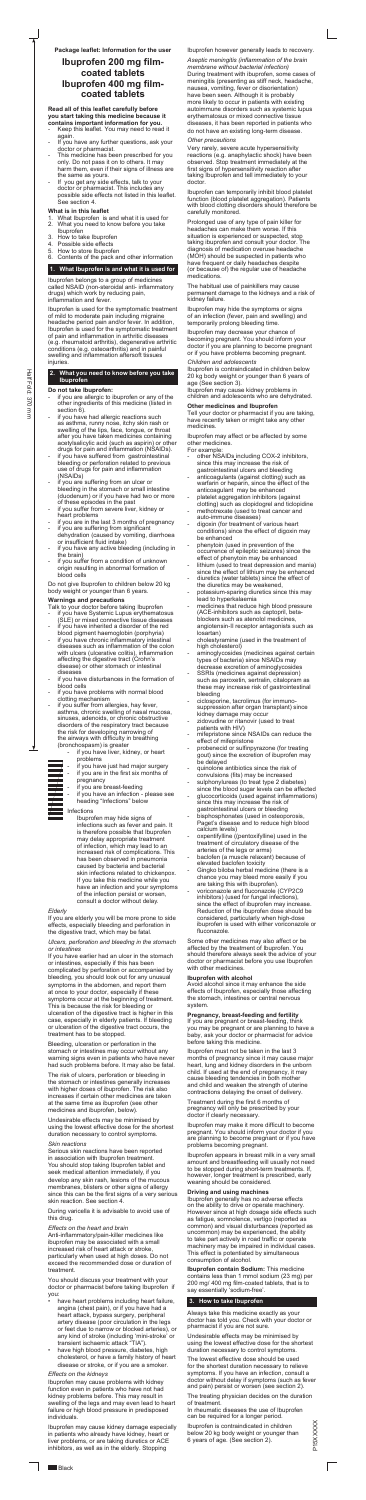**Read all of this leaflet carefully before you start taking this medicine because it contains important information for you.**

- Keep this leaflet. You may need to read it again.
- If you have any further questions, ask your doctor or pharmacist.
- This medicine has been prescribed for you only. Do not pass it on to others. It may harm them, even if their signs of illness are the same as yours.
- If you get any side effects, talk to your doctor or pharmacist. This includes any possible side effects not listed in this leaflet. See section 4.

#### **What is in this leaflet**

- 1. What Ibuprofen is and what it is used for
- 2. What you need to know before you take
- Ibuprofen
- 3. How to take Ibuprofen<br>4. Possible side effects
- 4. Possible side effects<br>5. How to store lbunrofe
- 5. How to store Ibuprofen<br>6. Contents of the pack a 6. Contents of the pack and other information

# **1. What Ibuprofen is and what it is used for**

Ibuprofen belongs to a group of medicines called NSAID (non-steroidal anti- inflammatory drugs) which work by reducing pain, inflammation and fever.

Ibuprofen is used for the symptomatic treatment of mild to moderate pain including migraine headache period pain and/or fever. In addition, Ibuprofen is used for the symptomatic treatment of pain and inflammation in arthritic diseases (e.g. rheumatoid arthritis), degenerative arthritic conditions (e.g. osteoarthritis) and in painful swelling and inflammation aftersoft tissues injuries.

- if you are allergic to ibuprofen or any of the other ingredients of this medicine (listed in section 6)
- if you have had allergic reactions such as asthma, runny nose, itchy skin rash or swelling of the lips, face, tongue, or throat after you have taken medicines containing acetylsalicylic acid (such as aspirin) or other drugs for pain and inflammation (NSAIDs).
- if you have suffered from gastrointestinal bleeding or perforation related to previous use of drugs for pain and inflammation (NSAIDs)
- if you are suffering from an ulcer or bleeding in the stomach or small intestine (duodenum) or if you have had two or more of these episodes in the past
- if you suffer from severe liver, kidney or heart problems
- if you are in the last 3 months of pregnancy
- if you are suffering from significant dehydration (caused by vomiting, diarrhoea or insufficient fluid intake)
- if you have any active bleeding (including in the brain)
- if you suffer from a condition of unknown origin resulting in abnormal formation of blood cells

#### **2. What you need to know before you take Ibuprofen**

#### **Do not take Ibuprofen:**

- if you have Systemic Lupus erythematosus
- (SLE) or mixed connective tissue diseases if you have inherited a disorder of the red
- blood pigment haemoglobin (porphyria)
- if you have chronic inflammatory intestinal diseases such as inflammation of the colon with ulcers (ulcerative colitis), inflammation affecting the digestive tract (Crohn's disease) or other stomach or intestinal diseases
- if you have disturbances in the formation of blood cells
- if you have problems with normal blood clotting mechanism
- if you suffer from allergies, hay fever, asthma, chronic swelling of nasal mucosa, sinuses, adenoids, or chronic obstructive disorders of the respiratory tract because the risk for developing narrowing of the airways with difficulty in breathing (bronchospasm) is greater
	- if you have liver, kidney, or heart problems
- - if you have just had major surgery if you are in the first six months of pregnancy
	- if you are breast-feeding
	- if you have an infection please see
	- heading "Infections" below

Do not give Ibuprofen to children below 20 kg body weight or younger than 6 years.

# **Warnings and precautions**

Talk to your doctor before taking Ibuprofen

- have heart problems including heart failure, angina (chest pain), or if you have had a heart attack, bypass surgery, peripheral artery disease (poor circulation in the legs or feet due to narrow or blocked arteries), or any kind of stroke (including 'mini-stroke' or transient ischaemic attack "TIA").
- have high blood pressure, diabetes, high cholesterol, or have a family history of heart disease or stroke, or if you are a smoker.

# Infections

Ibuprofen may hide signs of infections such as fever and pain. It is therefore possible that Ibuprofen may delay appropriate treatment of infection, which may lead to an increased risk of complications. This has been observed in pneumonia caused by bacteria and bacterial skin infections related to chickenpox. If you take this medicine while you have an infection and your symptoms of the infection persist or worsen, consult a doctor without delay.

# *Elderly*

If you are elderly you will be more prone to side effects, especially bleeding and perforation in the digestive tract, which may be fatal.

#### *Ulcers, perforation and bleeding in the stomach or intestines*

If you have earlier had an ulcer in the stomach or intestines, especially if this has been complicated by perforation or accompanied by bleeding, you should look out for any unusual symptoms in the abdomen, and report them at once to your doctor, especially if these symptoms occur at the beginning of treatment. This is because the risk for bleeding or ulceration of the digestive tract is higher in this case, especially in elderly patients. If bleeding or ulceration of the digestive tract occurs, the treatment has to be stopped.

Bleeding, ulceration or perforation in the stomach or intestines may occur without any warning signs even in patients who have never had such problems before. It may also be fatal.

The risk of ulcers, perforation or bleeding in the stomach or intestines generally increases with higher doses of ibuprofen. The risk also increases if certain other medicines are taken at the same time as ibuprofen (see other medicines and ibuprofen, below).

Undesirable effects may be minimised by using the lowest effective dose for the shortest duration necessary to control symptoms.

# *Skin reactions*

Serious skin reactions have been reported in association with Ibuprofen treatment. You should stop taking Ibuprofen tablet and seek medical attention immediately, if you develop any skin rash, lesions of the mucous membranes, blisters or other signs of allergy since this can be the first signs of a very serious skin reaction. See section 4.

During varicella it is advisable to avoid use of this drug.

#### *Effects on the heart and brain*

Anti-inflammatory/pain-killer medicines like ibuprofen may be associated with a small increased risk of heart attack or stroke, particularly when used at high doses. Do not exceed the recommended dose or duration of treatment.

You should discuss your treatment with your doctor or pharmacist before taking Ibuprofen if you:

#### *Effects on the kidneys*

Ibuprofen may cause problems with kidney function even in patients who have not had kidney problems before. This may result in swelling of the legs and may even lead to heart failure or high blood pressure in predisposed individuals.

Ibuprofen may cause kidney damage especially in patients who already have kidney, heart or liver problems, or are taking diuretics or ACE inhibitors, as well as in the elderly. Stopping

Ibuprofen however generally leads to recovery.

P15XXXXX P15XXXXX

*Aseptic meningitis (inflammation of the brain membrane without bacterial infection)*  During treatment with ibuprofen, some cases of meningitis (presenting as stiff neck, headache, nausea, vomiting, fever or disorientation) have been seen. Although it is probably more likely to occur in patients with existing autoimmune disorders such as systemic lupus erythematosus or mixed connective tissue diseases, it has been reported in patients who do not have an existing long-term disease.

#### *Other precautions*

Very rarely, severe acute hypersensitivity reactions (e.g. anaphylactic shock) have been observed. Stop treatment immediately at the first signs of hypersensitivity reaction after taking Ibuprofen and tell immediately to your doctor.

Ibuprofen can temporarily inhibit blood platelet function (blood platelet aggregation). Patients with blood clotting disorders should therefore be carefully monitored.

Prolonged use of any type of pain killer for headaches can make them worse. If this situation is experienced or suspected, stop taking ibuprofen and consult your doctor. The diagnosis of medication overuse headache (MOH) should be suspected in patients who have frequent or daily headaches despite (or because of) the regular use of headache medications.

The habitual use of painkillers may cause permanent damage to the kidneys and a risk of kidney failure.

Ibuprofen may hide the symptoms or signs of an infection (fever, pain and swelling) and temporarily prolong bleeding time.

Ibuprofen may decrease your chance of becoming pregnant. You should inform your doctor if you are planning to become pregnant or if you have problems becoming pregnant.

#### *Children and adolescents*

Ibuprofen is contraindicated in children below 20 kg body weight or younger than 6 years of age (See section 3).

Ibuprofen may cause kidney problems in children and adolescents who are dehydrated.

#### **Other medicines and Ibuprofen**

Tell your doctor or pharmacist if you are taking, have recently taken or might take any other medicines.

Ibuprofen may affect or be affected by some other medicines.

For example:

- other NSAIDs\_including COX-2 inhibitors, since this may increase the risk of gastrointestinal ulcers and bleeding
- anticoagulants (against clotting) such as warfarin or heparin, since the effect of the anticoagulant may be enhanced
- platelet aggregation inhibitors (against clotting) such as clopidogrel and ticlopidine
- methotrexate (used to treat cancer and auto-immune diseases)
- digoxin (for treatment of various heart conditions) since the effect of digoxin may be enhanced
- phenytoin (used in prevention of the occurrence of epileptic seizures) since the effect of phenytoin may be enhanced
- lithium (used to treat depression and mania) since the effect of lithium may be enhanced
- diuretics (water tablets) since the effect of the diuretics may be weakened,
- potassium-sparing diuretics since this may lead to hyperkalaemia
	- medicines that reduce high blood pressure
- (ACE-inhibitors such as captopril, betablockers such as atenolol medicines, angiotensin-II receptor antagonists such as losartan)
- cholestyramine (used in the treatment of high cholesterol)
- aminoglycosides (medicines against certain types of bacteria) since NSAIDs may decrease excretion of aminoglycosides
- SSRIs (medicines against depression) such as paroxetin, sertralin, citalopram as these may increase risk of gastrointestinal bleeding
- ciclosporine, tacrolimus (for immunosuppression after organ transplant) since kidney damage may occur
- zidovudine or ritanovir (used to treat patients with HIV)
- mifepristone since NSAIDs can reduce the effect of mifepristone
- probenecid or sulfinpyrazone (for treating gout) since the excretion of ibuprofen may be delayed
- quinolone antibiotics since the risk of convulsions (fits) may be increased
- sulphonylureas (to treat type 2 diabetes) since the blood sugar levels can be affected
- glucocorticoids (used against inflammations) since this may increase the risk of gastrointestinal ulcers or bleeding
- bisphosphonates (used in osteoporosis, Paget's disease and to reduce high blood calcium levels)
- oxpentifylline ((pentoxifylline) used in the treatment of circulatory disease of the arteries of the legs or arms)
- baclofen (a muscle relaxant) because of elevated baclofen toxicity
- Gingko biloba herbal medicine (there is a chance you may bleed more easily if you are taking this with ibuprofen).
- voriconazole and fluconazole (CYP2C9 inhibitors) (used for fungal infections), since the effect of ibuprofen may increase. Reduction of the ibuprofen dose should be considered, particularly when high-dose ibuprofen is used with either voriconazole or fluconazole.

Some other medicines may also affect or be affected by the treatment of Ibuprofen. You should therefore always seek the advice of your doctor or pharmacist before you use Ibuprofen with other medicines.

# **Ibuprofen with alcohol**

Avoid alcohol since it may enhance the side effects of Ibuprofen, especially those affecting the stomach, intestines or central nervous system.

#### **Pregnancy, breast-feeding and fertility**

If you are pregnant or breast-feeding, think you may be pregnant or are planning to have a baby, ask your doctor or pharmacist for advice before taking this medicine.

Ibuprofen must not be taken in the last 3 months of pregnancy since it may cause major heart, lung and kidney disorders in the unborn child. If used at the end of pregnancy, it may cause bleeding tendencies in both mother and child and weaken the strength of uterine contractions delaying the onset of delivery.

Treatment during the first 6 months of pregnancy will only be prescribed by your doctor if clearly necessary.

Ibuprofen may make it more difficult to become pregnant. You should inform your doctor if you are planning to become pregnant or if you have problems becoming pregnant.

Ibuprofen appears in breast milk in a very small amount and breastfeeding will usually not need to be stopped during short-term treatments. If, however, longer treatment is prescribed, early weaning should be considered.

# **Driving and using machines**

Ibuprofen generally has no adverse effects on the ability to drive or operate machinery. However since at high dosage side effects such as fatigue, somnolence, vertigo (reported as common) and visual disturbances (reported as uncommon) may be experienced, the ability to take part actively in road traffic or operate machinery may be impaired in individual cases. This effect is potentiated by simultaneous consumption of alcohol.

**Ibuprofen contain Sodium:** This medicine contains less than 1 mmol sodium (23 mg) per 200 mg/ 400 mg film-coated tablets, that is to say essentially 'sodium-free'.

# **3. How to take Ibuprofen**

Always take this medicine exactly as your doctor has told you. Check with your doctor or pharmacist if you are not sure.

Undesirable effects may be minimised by using the lowest effective dose for the shortest duration necessary to control symptoms.

The lowest effective dose should be used for the shortest duration necessary to relieve symptoms. If you have an infection, consult a doctor without delay if symptoms (such as fever and pain) persist or worsen (see section 2).

The treating physician decides on the duration of treatment.

In rheumatic diseases the use of Ibuprofen can be required for a longer period.

Ibuprofen is contraindicated in children below 20 kg body weight or younger than 6 years of age. (See section 2).

# **Package leaflet: Information for the user**

# **Ibuprofen 200 mg filmcoated tablets Ibuprofen 400 mg filmcoated tablets**